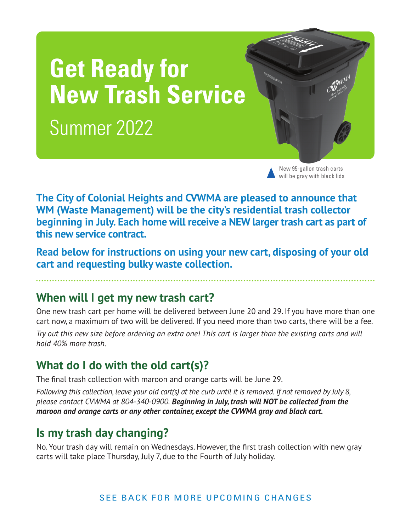# **Get Ready for New Trash Service** Summer 2022

New 95-gallon trash carts will be gray with black lids

**The City of Colonial Heights and CVWMA are pleased to announce that WM (Waste Management) will be the city's residential trash collector beginning in July. Each home will receive a NEW larger trash cart as part of this new service contract.**

**Read below for instructions on using your new cart, disposing of your old cart and requesting bulky waste collection.**

#### **When will I get my new trash cart?**

One new trash cart per home will be delivered between June 20 and 29. If you have more than one cart now, a maximum of two will be delivered. If you need more than two carts, there will be a fee.

*Try out this new size before ordering an extra one! This cart is larger than the existing carts and will hold 40% more trash.* 

### **What do I do with the old cart(s)?**

The final trash collection with maroon and orange carts will be June 29.

*Following this collection, leave your old cart(s) at the curb until it is removed. If not removed by July 8, please contact CVWMA at 804-340-0900. Beginning in July, trash will NOT be collected from the maroon and orange carts or any other container, except the CVWMA gray and black cart.*

# **Is my trash day changing?**

No. Your trash day will remain on Wednesdays. However, the first trash collection with new gray carts will take place Thursday, July 7, due to the Fourth of July holiday.